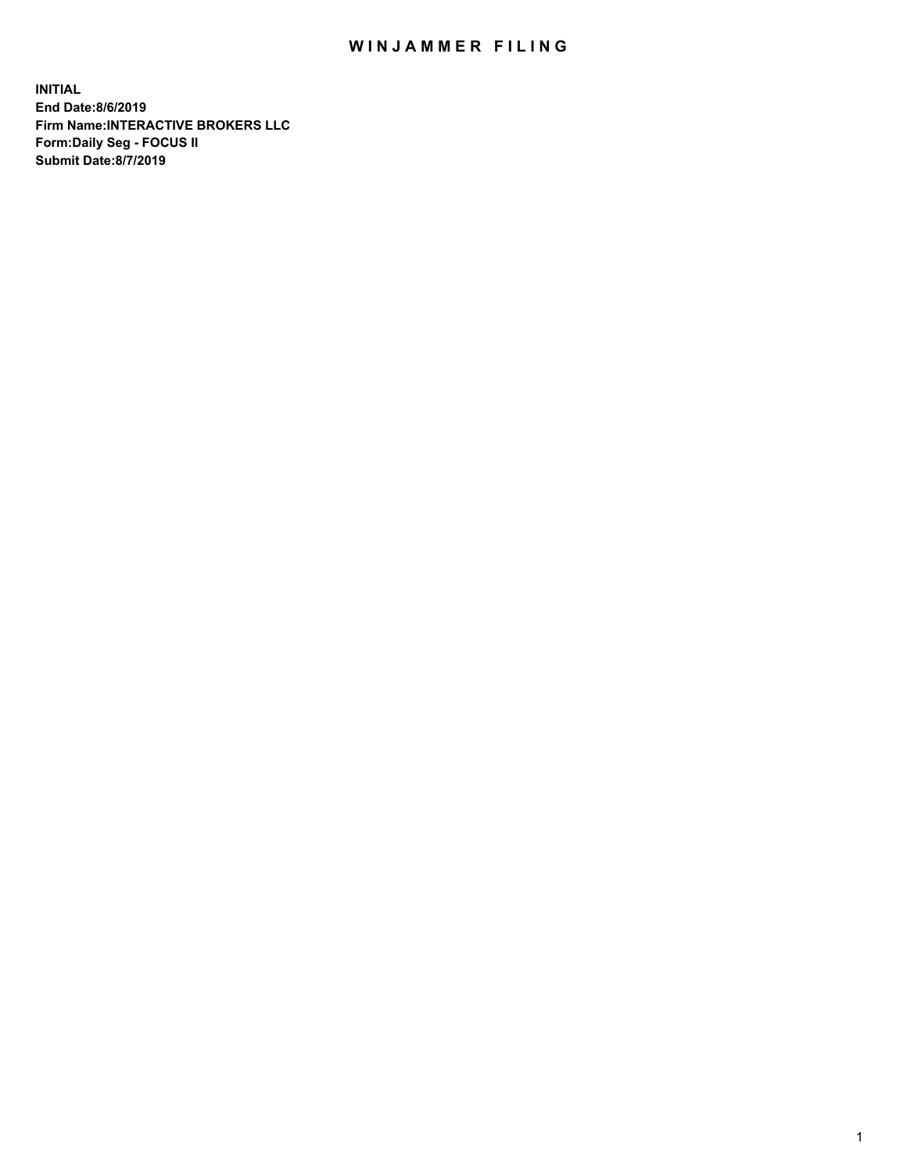## WIN JAMMER FILING

**INITIAL End Date:8/6/2019 Firm Name:INTERACTIVE BROKERS LLC Form:Daily Seg - FOCUS II Submit Date:8/7/2019**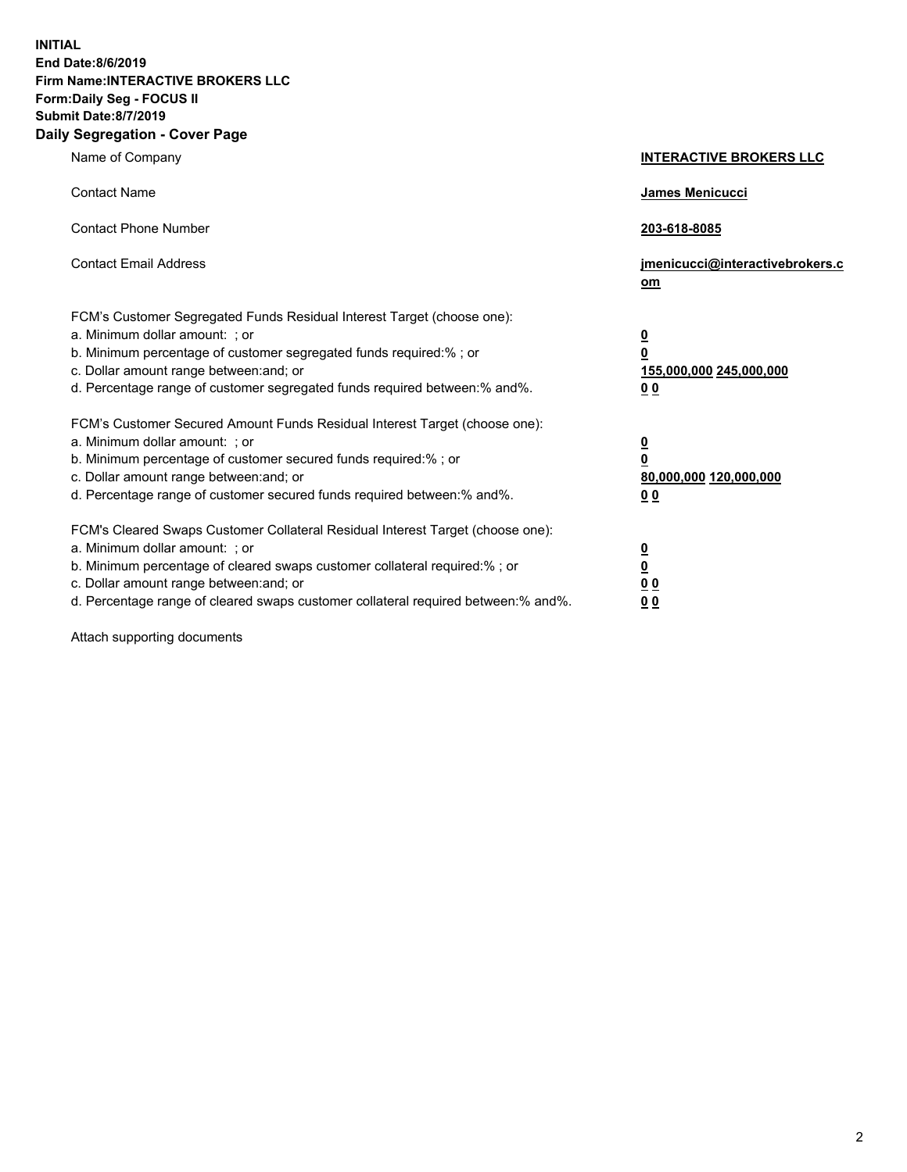**INITIAL End Date:8/6/2019 Firm Name:INTERACTIVE BROKERS LLC Form:Daily Seg - FOCUS II Submit Date:8/7/2019 Daily Segregation - Cover Page**

| Name of Company                                                                                                                                                                                                                                                                                                                | <b>INTERACTIVE BROKERS LLC</b>                                                                  |
|--------------------------------------------------------------------------------------------------------------------------------------------------------------------------------------------------------------------------------------------------------------------------------------------------------------------------------|-------------------------------------------------------------------------------------------------|
| <b>Contact Name</b>                                                                                                                                                                                                                                                                                                            | <b>James Menicucci</b>                                                                          |
| <b>Contact Phone Number</b>                                                                                                                                                                                                                                                                                                    | 203-618-8085                                                                                    |
| <b>Contact Email Address</b>                                                                                                                                                                                                                                                                                                   | jmenicucci@interactivebrokers.c<br>om                                                           |
| FCM's Customer Segregated Funds Residual Interest Target (choose one):<br>a. Minimum dollar amount: ; or<br>b. Minimum percentage of customer segregated funds required:% ; or<br>c. Dollar amount range between: and; or<br>d. Percentage range of customer segregated funds required between:% and%.                         | $\overline{\mathbf{0}}$<br>$\overline{\mathbf{0}}$<br>155,000,000 245,000,000<br>0 <sub>0</sub> |
| FCM's Customer Secured Amount Funds Residual Interest Target (choose one):<br>a. Minimum dollar amount: ; or<br>b. Minimum percentage of customer secured funds required:%; or<br>c. Dollar amount range between: and; or<br>d. Percentage range of customer secured funds required between:% and%.                            | $\overline{\mathbf{0}}$<br>$\mathbf 0$<br>80,000,000 120,000,000<br>0 <sub>0</sub>              |
| FCM's Cleared Swaps Customer Collateral Residual Interest Target (choose one):<br>a. Minimum dollar amount: ; or<br>b. Minimum percentage of cleared swaps customer collateral required:% ; or<br>c. Dollar amount range between: and; or<br>d. Percentage range of cleared swaps customer collateral required between:% and%. | $\overline{\mathbf{0}}$<br>$\underline{\mathbf{0}}$<br>0 <sub>0</sub><br>00                     |

Attach supporting documents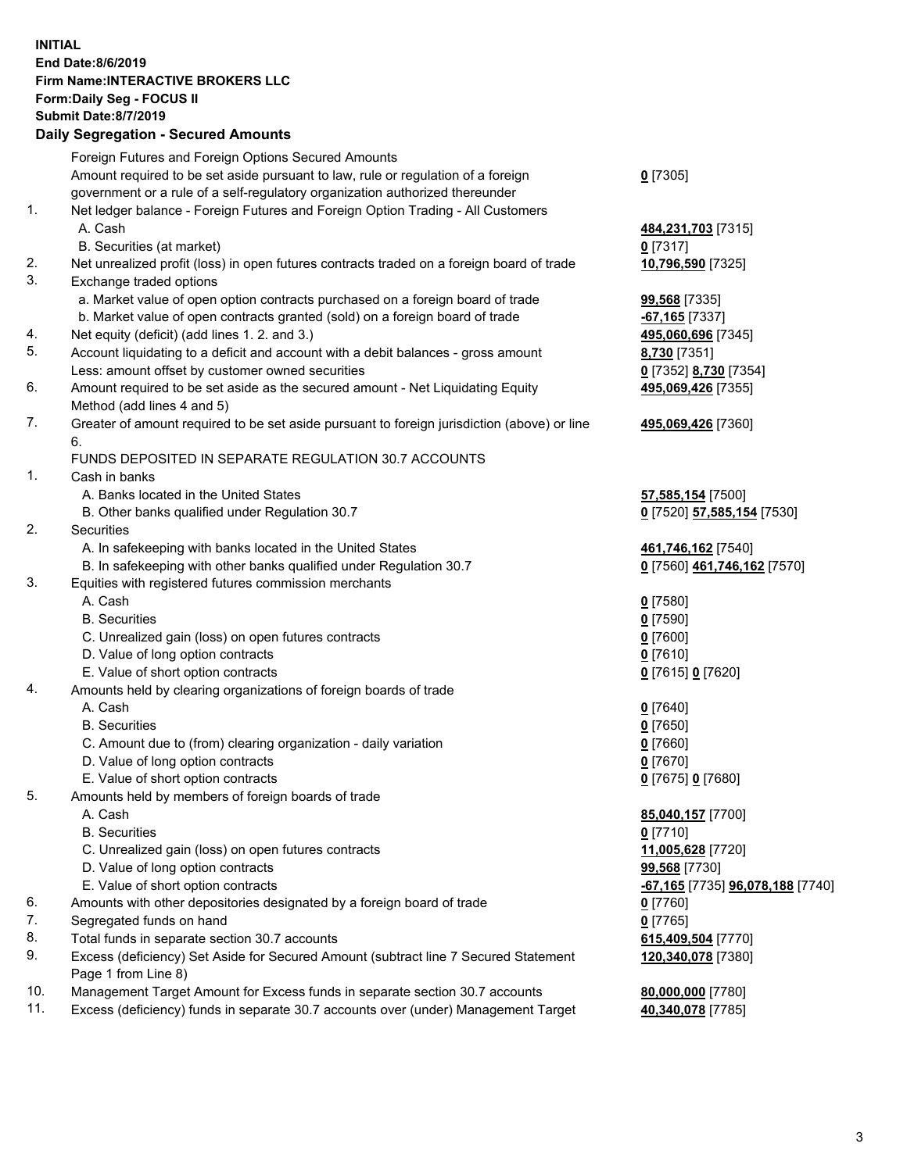## **INITIAL End Date:8/6/2019 Firm Name:INTERACTIVE BROKERS LLC Form:Daily Seg - FOCUS II Submit Date:8/7/2019 Daily Segregation - Secured Amounts**

|     | Foreign Futures and Foreign Options Secured Amounts                                         |                                                      |
|-----|---------------------------------------------------------------------------------------------|------------------------------------------------------|
|     | Amount required to be set aside pursuant to law, rule or regulation of a foreign            | $0$ [7305]                                           |
|     | government or a rule of a self-regulatory organization authorized thereunder                |                                                      |
| 1.  | Net ledger balance - Foreign Futures and Foreign Option Trading - All Customers             |                                                      |
|     | A. Cash                                                                                     | 484,231,703 [7315]                                   |
|     | B. Securities (at market)                                                                   | $0$ [7317]                                           |
| 2.  | Net unrealized profit (loss) in open futures contracts traded on a foreign board of trade   | 10,796,590 [7325]                                    |
| 3.  | Exchange traded options                                                                     |                                                      |
|     | a. Market value of open option contracts purchased on a foreign board of trade              | 99,568 [7335]                                        |
|     | b. Market value of open contracts granted (sold) on a foreign board of trade                | -67,165 <sup>[7337]</sup>                            |
| 4.  | Net equity (deficit) (add lines 1.2. and 3.)                                                | 495,060,696 [7345]                                   |
| 5.  | Account liquidating to a deficit and account with a debit balances - gross amount           | 8,730 [7351]                                         |
|     | Less: amount offset by customer owned securities                                            | 0 [7352] 8,730 [7354]                                |
| 6.  | Amount required to be set aside as the secured amount - Net Liquidating Equity              | 495,069,426 [7355]                                   |
|     | Method (add lines 4 and 5)                                                                  |                                                      |
| 7.  | Greater of amount required to be set aside pursuant to foreign jurisdiction (above) or line | 495,069,426 [7360]                                   |
|     | 6.                                                                                          |                                                      |
|     | FUNDS DEPOSITED IN SEPARATE REGULATION 30.7 ACCOUNTS                                        |                                                      |
| 1.  | Cash in banks                                                                               |                                                      |
|     | A. Banks located in the United States                                                       | 57,585,154 [7500]                                    |
|     | B. Other banks qualified under Regulation 30.7                                              | 0 [7520] 57,585,154 [7530]                           |
| 2.  | Securities                                                                                  |                                                      |
|     | A. In safekeeping with banks located in the United States                                   | 461,746,162 [7540]                                   |
|     | B. In safekeeping with other banks qualified under Regulation 30.7                          | 0 [7560] 461,746,162 [7570]                          |
| 3.  | Equities with registered futures commission merchants                                       |                                                      |
|     | A. Cash                                                                                     | $0$ [7580]                                           |
|     | <b>B.</b> Securities                                                                        | $0$ [7590]                                           |
|     | C. Unrealized gain (loss) on open futures contracts                                         | $0$ [7600]                                           |
|     | D. Value of long option contracts                                                           | $0$ [7610]                                           |
|     | E. Value of short option contracts                                                          | 0 [7615] 0 [7620]                                    |
| 4.  | Amounts held by clearing organizations of foreign boards of trade                           |                                                      |
|     | A. Cash                                                                                     | $0$ [7640]                                           |
|     | <b>B.</b> Securities                                                                        | $0$ [7650]                                           |
|     | C. Amount due to (from) clearing organization - daily variation                             | $0$ [7660]                                           |
|     | D. Value of long option contracts                                                           | $0$ [7670]                                           |
|     | E. Value of short option contracts                                                          | 0 [7675] 0 [7680]                                    |
| 5.  | Amounts held by members of foreign boards of trade                                          |                                                      |
|     | A. Cash                                                                                     | 85,040,157 [7700]                                    |
|     | <b>B.</b> Securities                                                                        | $0$ [7710]                                           |
|     | C. Unrealized gain (loss) on open futures contracts                                         |                                                      |
|     |                                                                                             | 11,005,628 [7720]                                    |
|     | D. Value of long option contracts                                                           | 99,568 [7730]                                        |
|     | E. Value of short option contracts                                                          | <mark>-67,165</mark> [7735] <b>96,078,188</b> [7740] |
| 6.  | Amounts with other depositories designated by a foreign board of trade                      | 0 [7760]                                             |
| 7.  | Segregated funds on hand                                                                    | $0$ [7765]                                           |
| 8.  | Total funds in separate section 30.7 accounts                                               | 615,409,504 [7770]                                   |
| 9.  | Excess (deficiency) Set Aside for Secured Amount (subtract line 7 Secured Statement         | 120,340,078 [7380]                                   |
|     | Page 1 from Line 8)                                                                         |                                                      |
| 10. | Management Target Amount for Excess funds in separate section 30.7 accounts                 | 80,000,000 [7780]                                    |
| 11. | Excess (deficiency) funds in separate 30.7 accounts over (under) Management Target          | 40,340,078 [7785]                                    |
|     |                                                                                             |                                                      |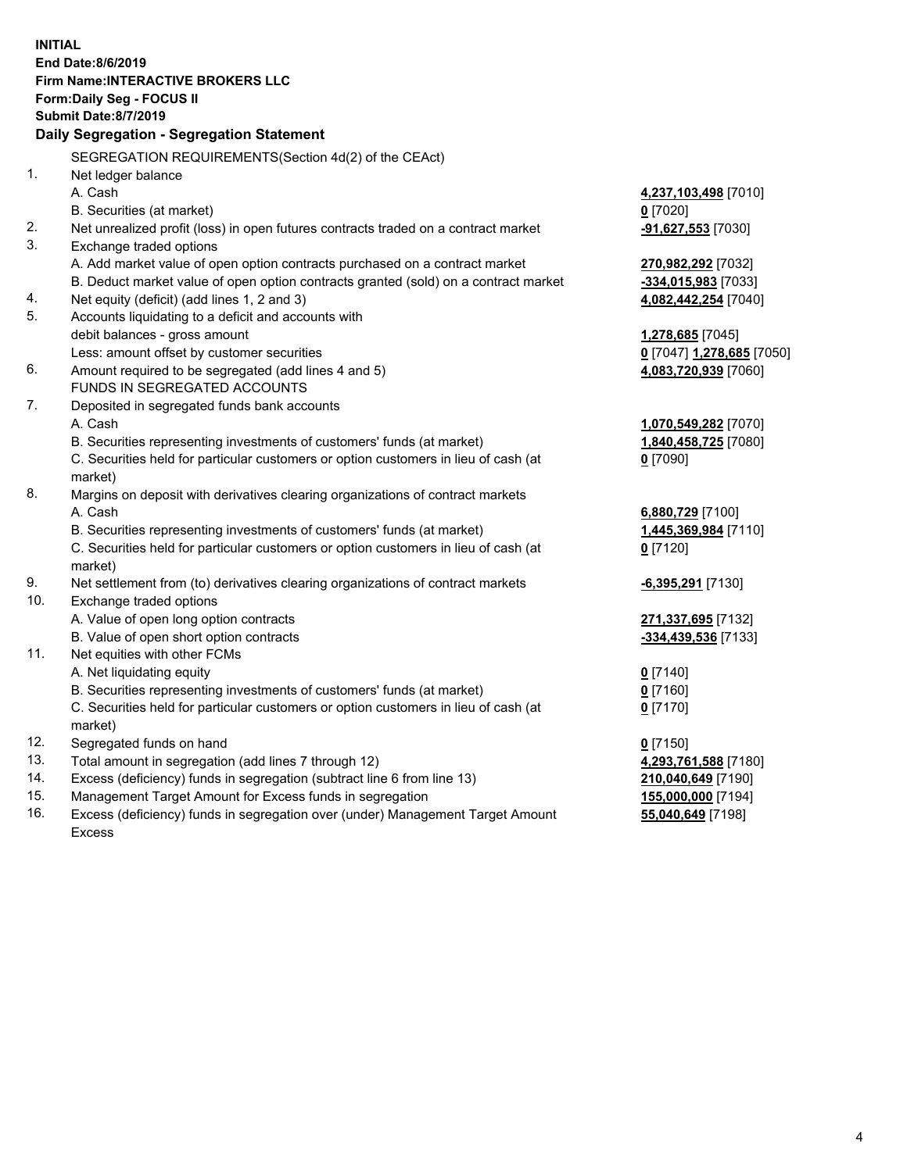|     | <b>INITIAL</b>                                                                      |                           |
|-----|-------------------------------------------------------------------------------------|---------------------------|
|     | End Date: 8/6/2019                                                                  |                           |
|     | <b>Firm Name:INTERACTIVE BROKERS LLC</b>                                            |                           |
|     | Form: Daily Seg - FOCUS II                                                          |                           |
|     | <b>Submit Date: 8/7/2019</b>                                                        |                           |
|     | Daily Segregation - Segregation Statement                                           |                           |
|     | SEGREGATION REQUIREMENTS(Section 4d(2) of the CEAct)                                |                           |
| 1.  | Net ledger balance                                                                  |                           |
|     | A. Cash                                                                             | 4,237,103,498 [7010]      |
|     | B. Securities (at market)                                                           | $0$ [7020]                |
| 2.  | Net unrealized profit (loss) in open futures contracts traded on a contract market  | -91,627,553 [7030]        |
| 3.  | Exchange traded options                                                             |                           |
|     | A. Add market value of open option contracts purchased on a contract market         | 270,982,292 [7032]        |
|     | B. Deduct market value of open option contracts granted (sold) on a contract market | -334,015,983 [7033]       |
| 4.  | Net equity (deficit) (add lines 1, 2 and 3)                                         | 4,082,442,254 [7040]      |
| 5.  | Accounts liquidating to a deficit and accounts with                                 |                           |
|     | debit balances - gross amount                                                       | 1,278,685 [7045]          |
|     | Less: amount offset by customer securities                                          | 0 [7047] 1,278,685 [7050] |
| 6.  | Amount required to be segregated (add lines 4 and 5)                                | 4,083,720,939 [7060]      |
|     | FUNDS IN SEGREGATED ACCOUNTS                                                        |                           |
| 7.  | Deposited in segregated funds bank accounts                                         |                           |
|     | A. Cash                                                                             | 1,070,549,282 [7070]      |
|     | B. Securities representing investments of customers' funds (at market)              | 1,840,458,725 [7080]      |
|     | C. Securities held for particular customers or option customers in lieu of cash (at | $0$ [7090]                |
|     | market)                                                                             |                           |
| 8.  | Margins on deposit with derivatives clearing organizations of contract markets      |                           |
|     | A. Cash                                                                             | 6,880,729 [7100]          |
|     | B. Securities representing investments of customers' funds (at market)              | 1,445,369,984 [7110]      |
|     | C. Securities held for particular customers or option customers in lieu of cash (at | $0$ [7120]                |
|     | market)                                                                             |                           |
| 9.  | Net settlement from (to) derivatives clearing organizations of contract markets     | -6,395,291 [7130]         |
| 10. | Exchange traded options                                                             |                           |
|     | A. Value of open long option contracts                                              | 271,337,695 [7132]        |
|     | B. Value of open short option contracts                                             | -334,439,536 [7133]       |
| 11. | Net equities with other FCMs                                                        |                           |
|     | A. Net liquidating equity                                                           | $0$ [7140]                |
|     | B. Securities representing investments of customers' funds (at market)              | 0 [7160]                  |
|     | C. Securities held for particular customers or option customers in lieu of cash (at | $0$ [7170]                |
|     | market)                                                                             |                           |
| 12. | Segregated funds on hand                                                            | $0$ [7150]                |
| 13. | Total amount in segregation (add lines 7 through 12)                                | 4,293,761,588 [7180]      |
| 14. | Excess (deficiency) funds in segregation (subtract line 6 from line 13)             | 210,040,649 [7190]        |
| 15. | Management Target Amount for Excess funds in segregation                            | 155,000,000 [7194]        |
| 16. | Excess (deficiency) funds in segregation over (under) Management Target Amount      | 55,040,649 [7198]         |
|     | <b>Excess</b>                                                                       |                           |